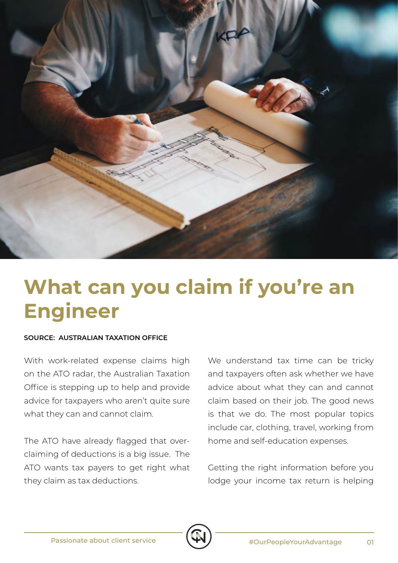

## **What can you claim if you're an Engineer**

## **SOURCE: AUSTRALIAN TAXATION OFFICE**

With work-related expense claims high on the ATO radar, the Australian Taxation Office is stepping up to help and provide advice for taxpayers who aren't quite sure what they can and cannot claim.

The ATO have already flagged that overclaiming of deductions is a big issue. The ATO wants tax payers to get right what they claim as tax deductions.

We understand tax time can be tricky and taxpayers often ask whether we have advice about what they can and cannot claim based on their job. The good news is that we do. The most popular topics include car, clothing, travel, working from home and self-education expenses.

Getting the right information before you lodge your income tax return is helping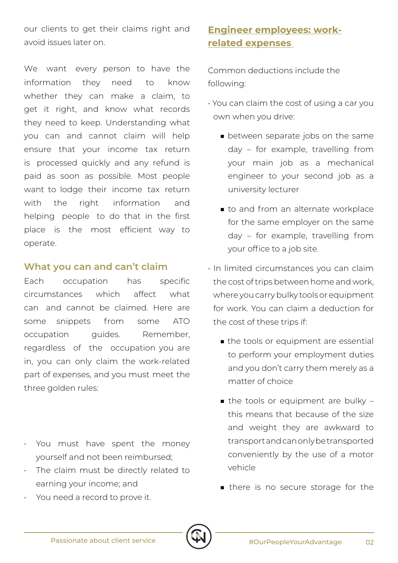our clients to get their claims right and avoid issues later on.

We want every person to have the information they need to know whether they can make a claim, to get it right, and know what records they need to keep. Understanding what you can and cannot claim will help ensure that your income tax return is processed quickly and any refund is paid as soon as possible. Most people want to lodge their income tax return with the right information and helping people to do that in the first place is the most efficient way to operate.

## **What you can and can't claim**

Each occupation has specific circumstances which affect what can and cannot be claimed. Here are some snippets from some ATO occupation guides. Remember, regardless of the occupation you are in, you can only claim the work-related part of expenses, and you must meet the three golden rules:

- You must have spent the money yourself and not been reimbursed;
- The claim must be directly related to earning your income; and
- You need a record to prove it.

## **Engineer employees: workrelated expenses**

Common deductions include the following:

- You can claim the cost of using a car you own when you drive:
	- between separate jobs on the same day – for example, travelling from your main job as a mechanical engineer to your second job as a university lecturer
	- to and from an alternate workplace for the same employer on the same day – for example, travelling from your office to a job site.
- In limited circumstances you can claim the cost of trips between home and work, where you carry bulky tools or equipment for work. You can claim a deduction for the cost of these trips if:
	- the tools or equipment are essential to perform your employment duties and you don't carry them merely as a matter of choice
	- the tools or equipment are bulky this means that because of the size and weight they are awkward to transport and can only be transported conveniently by the use of a motor vehicle
	- there is no secure storage for the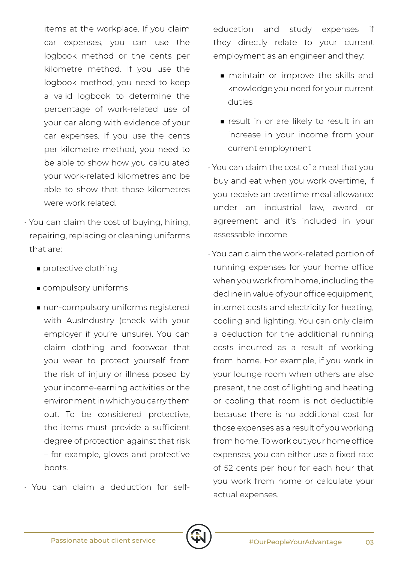items at the workplace. If you claim car expenses, you can use the logbook method or the cents per kilometre method. If you use the logbook method, you need to keep a valid logbook to determine the percentage of work-related use of your car along with evidence of your car expenses. If you use the cents per kilometre method, you need to be able to show how you calculated your work-related kilometres and be able to show that those kilometres were work related.

- You can claim the cost of buying, hiring, repairing, replacing or cleaning uniforms that are:
	- protective clothing
	- compulsory uniforms
	- non-compulsory uniforms registered with AusIndustry (check with your employer if you're unsure). You can claim clothing and footwear that you wear to protect yourself from the risk of injury or illness posed by your income-earning activities or the environment in which you carry them out. To be considered protective, the items must provide a sufficient degree of protection against that risk – for example, gloves and protective boots.
- You can claim a deduction for self-

education and study expenses if they directly relate to your current employment as an engineer and they:

- maintain or improve the skills and knowledge you need for your current duties
- result in or are likely to result in an increase in your income from your current employment
- You can claim the cost of a meal that you buy and eat when you work overtime, if you receive an overtime meal allowance under an industrial law, award or agreement and it's included in your assessable income
- You can claim the work-related portion of running expenses for your home office when you work from home, including the decline in value of your office equipment, internet costs and electricity for heating, cooling and lighting. You can only claim a deduction for the additional running costs incurred as a result of working from home. For example, if you work in your lounge room when others are also present, the cost of lighting and heating or cooling that room is not deductible because there is no additional cost for those expenses as a result of you working from home. To work out your home office expenses, you can either use a fixed rate of 52 cents per hour for each hour that you work from home or calculate your actual expenses.